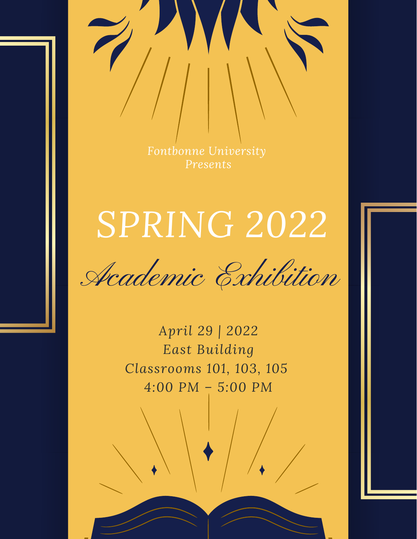*Fontbonne University Presents*

# *SPRING 2022*

Academic Exhibition

*April 29 | 2022 East Building Classrooms 101, 103, 105 4:00 PM – 5:00 PM*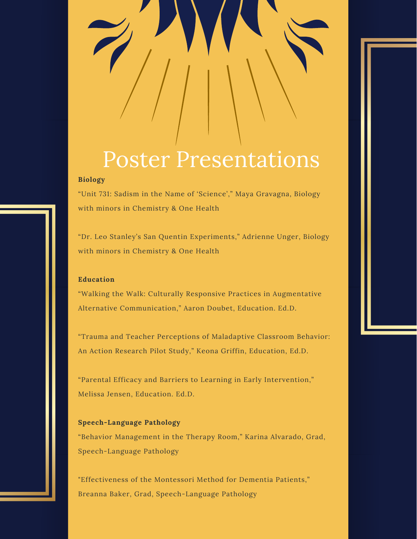## Poster Presentations

#### **Biology**

"Unit 731: Sadism in the Name of 'Science'," Maya Gravagna, Biology with minors in Chemistry & One Health

"Dr. Leo Stanley's San Quentin Experiments," Adrienne Unger, Biology with minors in Chemistry & One Health

#### **Education**

"Walking the Walk: Culturally Responsive Practices in Augmentative Alternative Communication," Aaron Doubet, Education. Ed.D.

"Trauma and Teacher Perceptions of Maladaptive Classroom Behavior: An Action Research Pilot Study," Keona Griffin, Education, Ed.D.

"Parental Efficacy and Barriers to Learning in Early Intervention," Melissa Jensen, Education. Ed.D.

### **Speech-Language Pathology** "Behavior Management in the Therapy Room," Karina Alvarado, Grad, Speech-Language Pathology

"Effectiveness of the Montessori Method for Dementia Patients," Breanna Baker, Grad, Speech-Language Pathology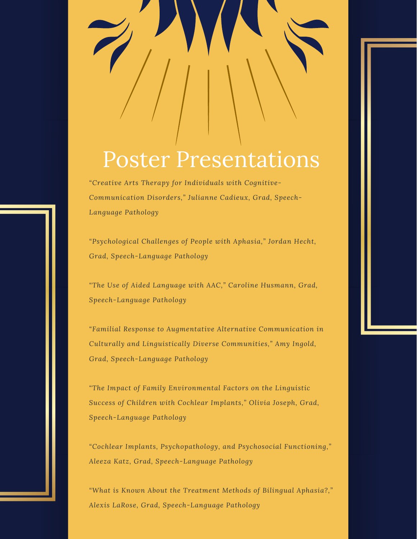### Poster Presentations

*"Creative Arts Therapy for Individuals with Cognitive-Communication Disorders," Julianne Cadieux, Grad, Speech-Language Pathology*

*"Psychological Challenges of People with Aphasia," Jordan Hecht, Grad, Speech-Language Pathology*

*"The Use of Aided Language with AAC," Caroline Husmann, Grad, Speech-Language Pathology*

*"Familial Response to Augmentative Alternative Communication in Culturally and Linguistically Diverse Communities," Amy Ingold, Grad, Speech-Language Pathology*

*"The Impact of Family Environmental Factors on the Linguistic Success of Children with Cochlear Implants," Olivia Joseph, Grad, Speech-Language Pathology*

*"Cochlear Implants, Psychopathology, and Psychosocial Functioning," Aleeza Katz, Grad, Speech-Language Pathology*

*"What is Known About the Treatment Methods of Bilingual Aphasia?," Alexis LaRose, Grad, Speech-Language Pathology*